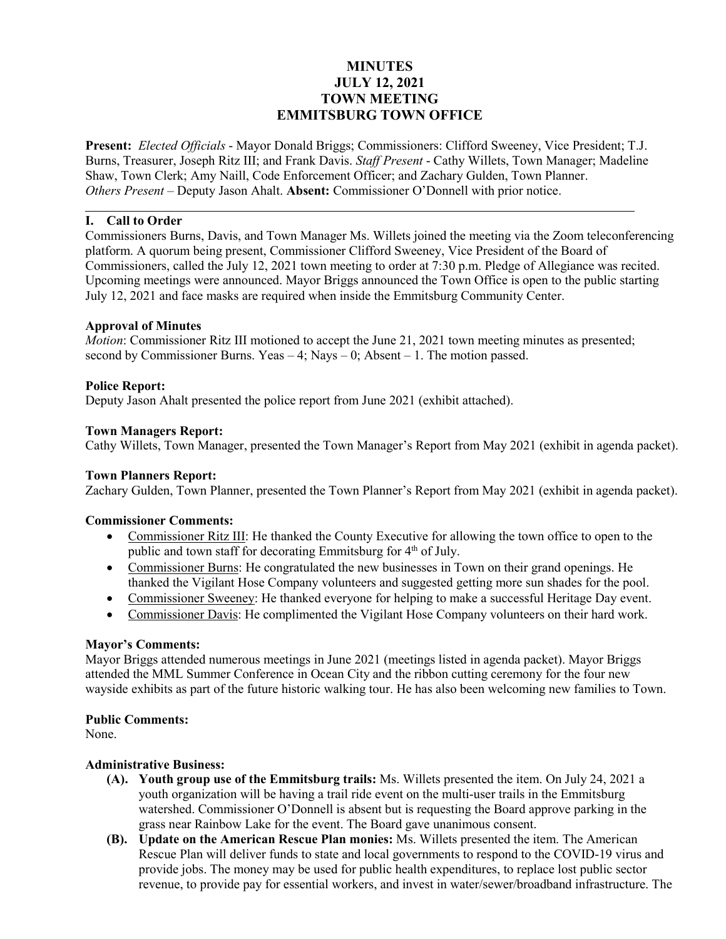# **MINUTES JULY 12, 2021 TOWN MEETING EMMITSBURG TOWN OFFICE**

**Present:** *Elected Officials* - Mayor Donald Briggs; Commissioners: Clifford Sweeney, Vice President; T.J. Burns, Treasurer, Joseph Ritz III; and Frank Davis. *Staff Present* - Cathy Willets, Town Manager; Madeline Shaw, Town Clerk; Amy Naill, Code Enforcement Officer; and Zachary Gulden, Town Planner. *Others Present* – Deputy Jason Ahalt. **Absent:** Commissioner O'Donnell with prior notice.

## **I. Call to Order**

Commissioners Burns, Davis, and Town Manager Ms. Willets joined the meeting via the Zoom teleconferencing platform. A quorum being present, Commissioner Clifford Sweeney, Vice President of the Board of Commissioners, called the July 12, 2021 town meeting to order at 7:30 p.m. Pledge of Allegiance was recited. Upcoming meetings were announced. Mayor Briggs announced the Town Office is open to the public starting July 12, 2021 and face masks are required when inside the Emmitsburg Community Center.

## **Approval of Minutes**

*Motion*: Commissioner Ritz III motioned to accept the June 21, 2021 town meeting minutes as presented; second by Commissioner Burns. Yeas  $-4$ ; Nays  $-0$ ; Absent  $-1$ . The motion passed.

### **Police Report:**

Deputy Jason Ahalt presented the police report from June 2021 (exhibit attached).

### **Town Managers Report:**

Cathy Willets, Town Manager, presented the Town Manager's Report from May 2021 (exhibit in agenda packet).

#### **Town Planners Report:**

Zachary Gulden, Town Planner, presented the Town Planner's Report from May 2021 (exhibit in agenda packet).

#### **Commissioner Comments:**

- Commissioner Ritz III: He thanked the County Executive for allowing the town office to open to the public and town staff for decorating Emmitsburg for  $4<sup>th</sup>$  of July.
- Commissioner Burns: He congratulated the new businesses in Town on their grand openings. He thanked the Vigilant Hose Company volunteers and suggested getting more sun shades for the pool.
- Commissioner Sweeney: He thanked everyone for helping to make a successful Heritage Day event.
- Commissioner Davis: He complimented the Vigilant Hose Company volunteers on their hard work.

## **Mayor's Comments:**

Mayor Briggs attended numerous meetings in June 2021 (meetings listed in agenda packet). Mayor Briggs attended the MML Summer Conference in Ocean City and the ribbon cutting ceremony for the four new wayside exhibits as part of the future historic walking tour. He has also been welcoming new families to Town.

## **Public Comments:**

None.

#### **Administrative Business:**

- **(A). Youth group use of the Emmitsburg trails:** Ms. Willets presented the item. On July 24, 2021 a youth organization will be having a trail ride event on the multi-user trails in the Emmitsburg watershed. Commissioner O'Donnell is absent but is requesting the Board approve parking in the grass near Rainbow Lake for the event. The Board gave unanimous consent.
- **(B). Update on the American Rescue Plan monies:** Ms. Willets presented the item. The American Rescue Plan will deliver funds to state and local governments to respond to the COVID-19 virus and provide jobs. The money may be used for public health expenditures, to replace lost public sector revenue, to provide pay for essential workers, and invest in water/sewer/broadband infrastructure. The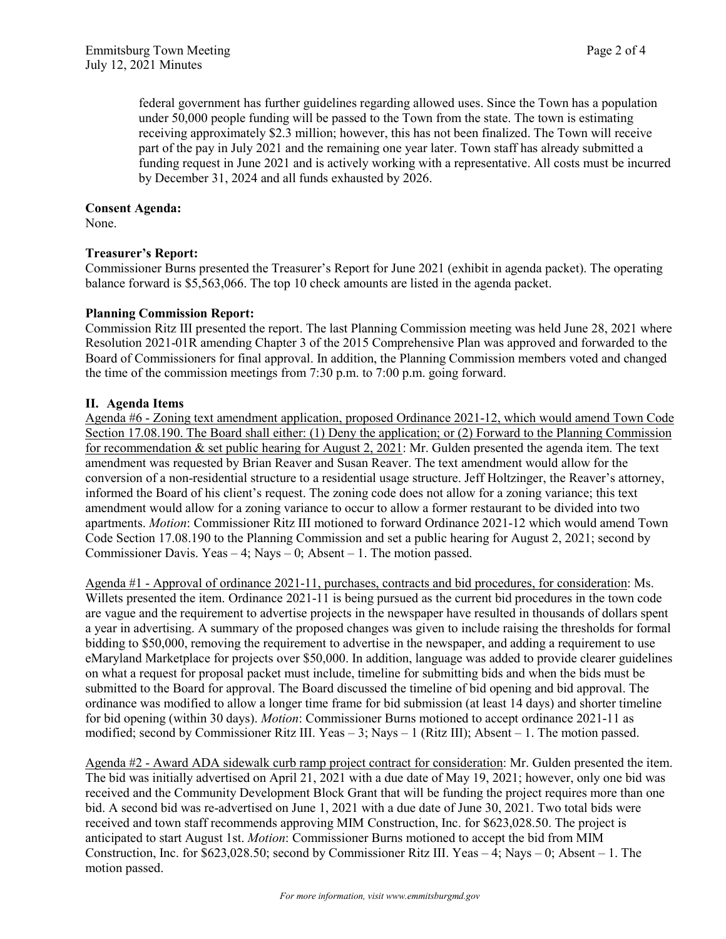federal government has further guidelines regarding allowed uses. Since the Town has a population under 50,000 people funding will be passed to the Town from the state. The town is estimating receiving approximately \$2.3 million; however, this has not been finalized. The Town will receive part of the pay in July 2021 and the remaining one year later. Town staff has already submitted a funding request in June 2021 and is actively working with a representative. All costs must be incurred by December 31, 2024 and all funds exhausted by 2026.

### **Consent Agenda:**

None.

## **Treasurer's Report:**

Commissioner Burns presented the Treasurer's Report for June 2021 (exhibit in agenda packet). The operating balance forward is \$5,563,066. The top 10 check amounts are listed in the agenda packet.

## **Planning Commission Report:**

Commission Ritz III presented the report. The last Planning Commission meeting was held June 28, 2021 where Resolution 2021-01R amending Chapter 3 of the 2015 Comprehensive Plan was approved and forwarded to the Board of Commissioners for final approval. In addition, the Planning Commission members voted and changed the time of the commission meetings from 7:30 p.m. to 7:00 p.m. going forward.

## **II. Agenda Items**

Agenda #6 - Zoning text amendment application, proposed Ordinance 2021-12, which would amend Town Code Section 17.08.190. The Board shall either: (1) Deny the application; or (2) Forward to the Planning Commission for recommendation & set public hearing for August 2, 2021: Mr. Gulden presented the agenda item. The text amendment was requested by Brian Reaver and Susan Reaver. The text amendment would allow for the conversion of a non-residential structure to a residential usage structure. Jeff Holtzinger, the Reaver's attorney, informed the Board of his client's request. The zoning code does not allow for a zoning variance; this text amendment would allow for a zoning variance to occur to allow a former restaurant to be divided into two apartments. *Motion*: Commissioner Ritz III motioned to forward Ordinance 2021-12 which would amend Town Code Section 17.08.190 to the Planning Commission and set a public hearing for August 2, 2021; second by Commissioner Davis. Yeas  $-4$ ; Nays  $-0$ ; Absent  $-1$ . The motion passed.

Agenda #1 - Approval of ordinance 2021-11, purchases, contracts and bid procedures, for consideration: Ms. Willets presented the item. Ordinance 2021-11 is being pursued as the current bid procedures in the town code are vague and the requirement to advertise projects in the newspaper have resulted in thousands of dollars spent a year in advertising. A summary of the proposed changes was given to include raising the thresholds for formal bidding to \$50,000, removing the requirement to advertise in the newspaper, and adding a requirement to use eMaryland Marketplace for projects over \$50,000. In addition, language was added to provide clearer guidelines on what a request for proposal packet must include, timeline for submitting bids and when the bids must be submitted to the Board for approval. The Board discussed the timeline of bid opening and bid approval. The ordinance was modified to allow a longer time frame for bid submission (at least 14 days) and shorter timeline for bid opening (within 30 days). *Motion*: Commissioner Burns motioned to accept ordinance 2021-11 as modified; second by Commissioner Ritz III. Yeas – 3; Nays – 1 (Ritz III); Absent – 1. The motion passed.

Agenda #2 - Award ADA sidewalk curb ramp project contract for consideration: Mr. Gulden presented the item. The bid was initially advertised on April 21, 2021 with a due date of May 19, 2021; however, only one bid was received and the Community Development Block Grant that will be funding the project requires more than one bid. A second bid was re-advertised on June 1, 2021 with a due date of June 30, 2021. Two total bids were received and town staff recommends approving MIM Construction, Inc. for \$623,028.50. The project is anticipated to start August 1st. *Motion*: Commissioner Burns motioned to accept the bid from MIM Construction, Inc. for \$623,028.50; second by Commissioner Ritz III. Yeas – 4; Nays – 0; Absent – 1. The motion passed.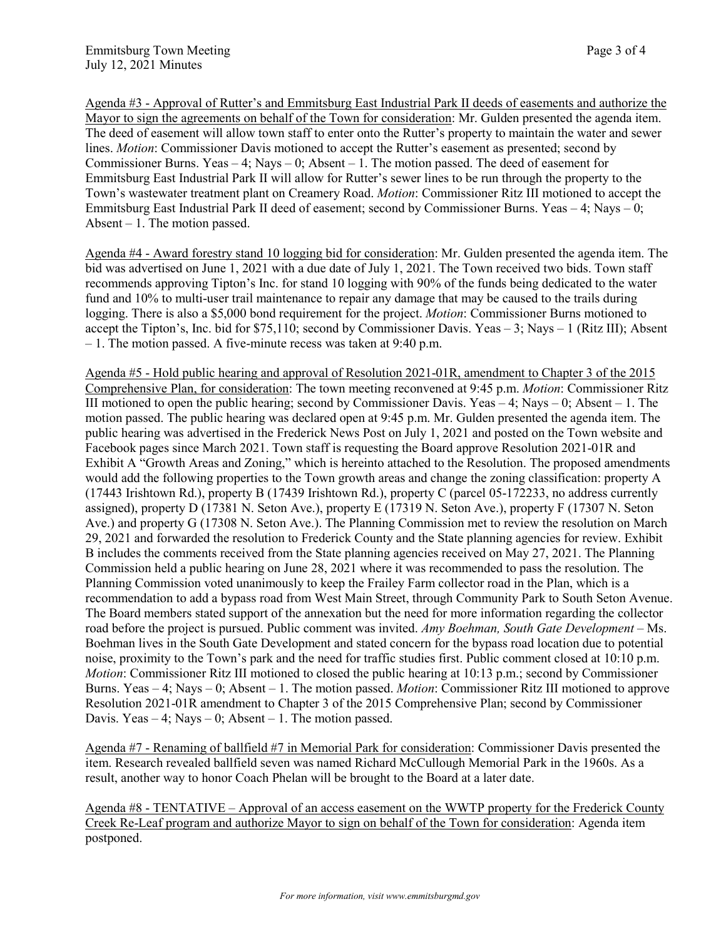Agenda #3 - Approval of Rutter's and Emmitsburg East Industrial Park II deeds of easements and authorize the Mayor to sign the agreements on behalf of the Town for consideration: Mr. Gulden presented the agenda item. The deed of easement will allow town staff to enter onto the Rutter's property to maintain the water and sewer lines. *Motion*: Commissioner Davis motioned to accept the Rutter's easement as presented; second by Commissioner Burns. Yeas – 4; Nays – 0; Absent – 1. The motion passed. The deed of easement for Emmitsburg East Industrial Park II will allow for Rutter's sewer lines to be run through the property to the Town's wastewater treatment plant on Creamery Road. *Motion*: Commissioner Ritz III motioned to accept the Emmitsburg East Industrial Park II deed of easement; second by Commissioner Burns. Yeas – 4; Nays – 0; Absent  $-1$ . The motion passed.

Agenda #4 - Award forestry stand 10 logging bid for consideration: Mr. Gulden presented the agenda item. The bid was advertised on June 1, 2021 with a due date of July 1, 2021. The Town received two bids. Town staff recommends approving Tipton's Inc. for stand 10 logging with 90% of the funds being dedicated to the water fund and 10% to multi-user trail maintenance to repair any damage that may be caused to the trails during logging. There is also a \$5,000 bond requirement for the project. *Motion*: Commissioner Burns motioned to accept the Tipton's, Inc. bid for \$75,110; second by Commissioner Davis. Yeas – 3; Nays – 1 (Ritz III); Absent – 1. The motion passed. A five-minute recess was taken at 9:40 p.m.

Agenda #5 - Hold public hearing and approval of Resolution 2021-01R, amendment to Chapter 3 of the 2015 Comprehensive Plan, for consideration: The town meeting reconvened at 9:45 p.m. *Motion*: Commissioner Ritz III motioned to open the public hearing; second by Commissioner Davis. Yeas  $-4$ ; Nays  $-0$ ; Absent  $-1$ . The motion passed. The public hearing was declared open at 9:45 p.m. Mr. Gulden presented the agenda item. The public hearing was advertised in the Frederick News Post on July 1, 2021 and posted on the Town website and Facebook pages since March 2021. Town staff is requesting the Board approve Resolution 2021-01R and Exhibit A "Growth Areas and Zoning," which is hereinto attached to the Resolution. The proposed amendments would add the following properties to the Town growth areas and change the zoning classification: property A (17443 Irishtown Rd.), property B (17439 Irishtown Rd.), property C (parcel 05-172233, no address currently assigned), property D (17381 N. Seton Ave.), property E (17319 N. Seton Ave.), property F (17307 N. Seton Ave.) and property G (17308 N. Seton Ave.). The Planning Commission met to review the resolution on March 29, 2021 and forwarded the resolution to Frederick County and the State planning agencies for review. Exhibit B includes the comments received from the State planning agencies received on May 27, 2021. The Planning Commission held a public hearing on June 28, 2021 where it was recommended to pass the resolution. The Planning Commission voted unanimously to keep the Frailey Farm collector road in the Plan, which is a recommendation to add a bypass road from West Main Street, through Community Park to South Seton Avenue. The Board members stated support of the annexation but the need for more information regarding the collector road before the project is pursued. Public comment was invited. *Amy Boehman, South Gate Development* – Ms. Boehman lives in the South Gate Development and stated concern for the bypass road location due to potential noise, proximity to the Town's park and the need for traffic studies first. Public comment closed at 10:10 p.m. *Motion*: Commissioner Ritz III motioned to closed the public hearing at 10:13 p.m.; second by Commissioner Burns. Yeas – 4; Nays – 0; Absent – 1. The motion passed. *Motion*: Commissioner Ritz III motioned to approve Resolution 2021-01R amendment to Chapter 3 of the 2015 Comprehensive Plan; second by Commissioner Davis. Yeas  $-4$ ; Nays  $-0$ ; Absent  $-1$ . The motion passed.

Agenda #7 - Renaming of ballfield #7 in Memorial Park for consideration: Commissioner Davis presented the item. Research revealed ballfield seven was named Richard McCullough Memorial Park in the 1960s. As a result, another way to honor Coach Phelan will be brought to the Board at a later date.

Agenda #8 - TENTATIVE – Approval of an access easement on the WWTP property for the Frederick County Creek Re-Leaf program and authorize Mayor to sign on behalf of the Town for consideration: Agenda item postponed.